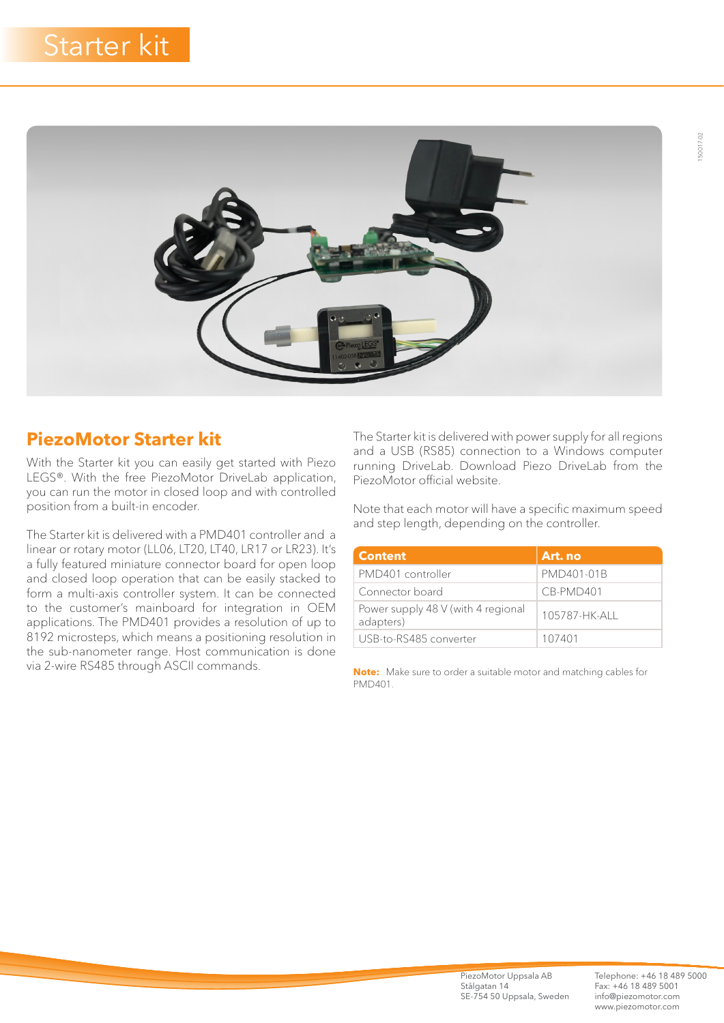

## **PiezoMotor Starter kit**

With the Starter kit you can easily get started with Piezo LEGS®. With the free PiezoMotor DriveLab application, you can run the motor in closed loop and with controlled position from a built-in encoder.

The Starter kit is delivered with a PMD401 controller and a linear or rotary motor (LL06, LT20, LT40, LR17 or LR23). It's a fully featured miniature connector board for open loop and closed loop operation that can be easily stacked to form a multi-axis controller system. It can be connected to the customer's mainboard for integration in OEM applications. The PMD401 provides a resolution of up to 8192 microsteps, which means a positioning resolution in the sub-nanometer range. Host communication is done via 2-wire RS485 through ASCII commands.

The Starter kit is delivered with power supply for all regions and a USB (RS85) connection to a Windows computer running DriveLab. Download Piezo DriveLab from the PiezoMotor official website.

Note that each motor will have a specific maximum speed and step length, depending on the controller.

| <b>Content</b>                                  | Art. no      |
|-------------------------------------------------|--------------|
| PMD401 controller                               | PMD401-01B   |
| Connector board                                 | CB-PMD401    |
| Power supply 48 V (with 4 regional<br>adapters) | 105787-HK-AH |
| USB-to-RS485 converter                          | 107401       |

**Note:** Make sure to order a suitable motor and matching cables for PMD401.